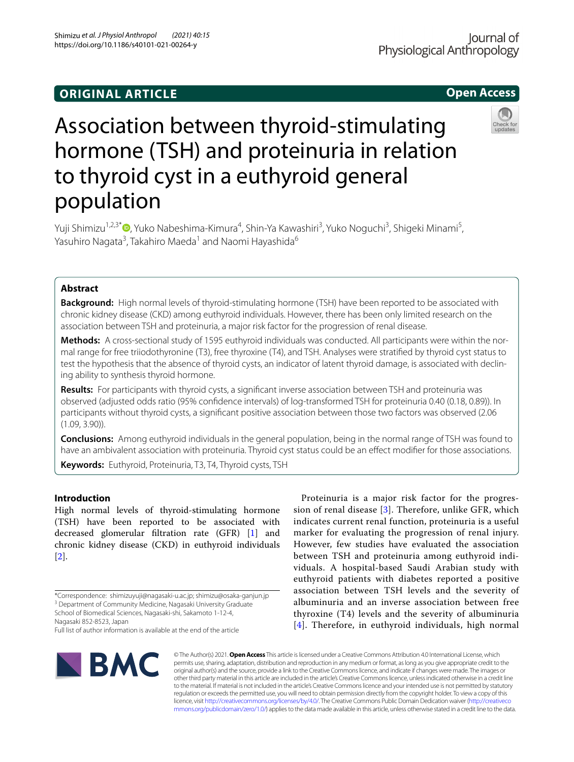# **ORIGINAL ARTICLE**

# **Open Access**

# Association between thyroid-stimulating hormone (TSH) and proteinuria in relation to thyroid cyst in a euthyroid general population

Yuji Shimizu1,2,3\* [,](http://orcid.org/0000-0002-3381-9288) Yuko Nabeshima‑Kimura4 , Shin‑Ya Kawashiri3 , Yuko Noguchi3 , Shigeki Minami5 , Yasuhiro Nagata<sup>3</sup>, Takahiro Maeda<sup>1</sup> and Naomi Hayashida<sup>6</sup>

# **Abstract**

**Background:** High normal levels of thyroid-stimulating hormone (TSH) have been reported to be associated with chronic kidney disease (CKD) among euthyroid individuals. However, there has been only limited research on the association between TSH and proteinuria, a major risk factor for the progression of renal disease.

**Methods:** A cross-sectional study of 1595 euthyroid individuals was conducted. All participants were within the nor‑ mal range for free triiodothyronine (T3), free thyroxine (T4), and TSH. Analyses were stratifed by thyroid cyst status to test the hypothesis that the absence of thyroid cysts, an indicator of latent thyroid damage, is associated with declining ability to synthesis thyroid hormone.

**Results:** For participants with thyroid cysts, a signifcant inverse association between TSH and proteinuria was observed (adjusted odds ratio (95% confdence intervals) of log-transformed TSH for proteinuria 0.40 (0.18, 0.89)). In participants without thyroid cysts, a signifcant positive association between those two factors was observed (2.06 (1.09, 3.90)).

**Conclusions:** Among euthyroid individuals in the general population, being in the normal range of TSH was found to have an ambivalent association with proteinuria. Thyroid cyst status could be an efect modifer for those associations.

**Keywords:** Euthyroid, Proteinuria, T3, T4, Thyroid cysts, TSH

# **Introduction**

High normal levels of thyroid-stimulating hormone (TSH) have been reported to be associated with decreased glomerular fltration rate (GFR) [[1\]](#page-7-0) and chronic kidney disease (CKD) in euthyroid individuals [[2\]](#page-7-1).

School of Biomedical Sciences, Nagasaki-shi, Sakamoto 1-12-4,

Full list of author information is available at the end of the article



Proteinuria is a major risk factor for the progression of renal disease  $[3]$  $[3]$ . Therefore, unlike GFR, which indicates current renal function, proteinuria is a useful marker for evaluating the progression of renal injury. However, few studies have evaluated the association between TSH and proteinuria among euthyroid individuals. A hospital-based Saudi Arabian study with euthyroid patients with diabetes reported a positive association between TSH levels and the severity of albuminuria and an inverse association between free thyroxine (T4) levels and the severity of albuminuria [[4](#page-7-3)]. Therefore, in euthyroid individuals, high normal

© The Author(s) 2021. **Open Access** This article is licensed under a Creative Commons Attribution 4.0 International License, which permits use, sharing, adaptation, distribution and reproduction in any medium or format, as long as you give appropriate credit to the original author(s) and the source, provide a link to the Creative Commons licence, and indicate if changes were made. The images or other third party material in this article are included in the article's Creative Commons licence, unless indicated otherwise in a credit line to the material. If material is not included in the article's Creative Commons licence and your intended use is not permitted by statutory regulation or exceeds the permitted use, you will need to obtain permission directly from the copyright holder. To view a copy of this licence, visit [http://creativecommons.org/licenses/by/4.0/.](http://creativecommons.org/licenses/by/4.0/) The Creative Commons Public Domain Dedication waiver ([http://creativeco](http://creativecommons.org/publicdomain/zero/1.0/) [mmons.org/publicdomain/zero/1.0/](http://creativecommons.org/publicdomain/zero/1.0/)) applies to the data made available in this article, unless otherwise stated in a credit line to the data.

<sup>\*</sup>Correspondence: shimizuyuji@nagasaki-u.ac.jp; shimizu@osaka-ganjun.jp <sup>3</sup> Department of Community Medicine, Nagasaki University Graduate

Nagasaki 852‑8523, Japan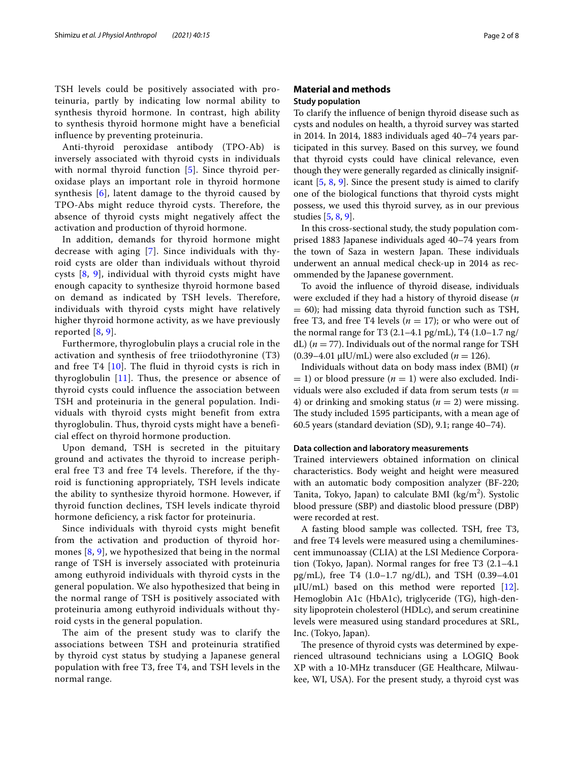TSH levels could be positively associated with proteinuria, partly by indicating low normal ability to synthesis thyroid hormone. In contrast, high ability to synthesis thyroid hormone might have a beneficial influence by preventing proteinuria.

Anti-thyroid peroxidase antibody (TPO-Ab) is inversely associated with thyroid cysts in individuals with normal thyroid function [[5](#page-7-4)]. Since thyroid peroxidase plays an important role in thyroid hormone synthesis [[6](#page-7-5)], latent damage to the thyroid caused by TPO-Abs might reduce thyroid cysts. Therefore, the absence of thyroid cysts might negatively affect the activation and production of thyroid hormone.

In addition, demands for thyroid hormone might decrease with aging [[7](#page-7-6)]. Since individuals with thyroid cysts are older than individuals without thyroid cysts [\[8](#page-7-7), [9\]](#page-7-8), individual with thyroid cysts might have enough capacity to synthesize thyroid hormone based on demand as indicated by TSH levels. Therefore, individuals with thyroid cysts might have relatively higher thyroid hormone activity, as we have previously reported [[8,](#page-7-7) [9\]](#page-7-8).

Furthermore, thyroglobulin plays a crucial role in the activation and synthesis of free triiodothyronine (T3) and free T4 [\[10\]](#page-7-9). The fluid in thyroid cysts is rich in thyroglobulin [\[11\]](#page-7-10). Thus, the presence or absence of thyroid cysts could influence the association between TSH and proteinuria in the general population. Individuals with thyroid cysts might benefit from extra thyroglobulin. Thus, thyroid cysts might have a beneficial effect on thyroid hormone production.

Upon demand, TSH is secreted in the pituitary ground and activates the thyroid to increase peripheral free T3 and free T4 levels. Therefore, if the thyroid is functioning appropriately, TSH levels indicate the ability to synthesize thyroid hormone. However, if thyroid function declines, TSH levels indicate thyroid hormone deficiency, a risk factor for proteinuria.

Since individuals with thyroid cysts might benefit from the activation and production of thyroid hormones [[8,](#page-7-7) [9\]](#page-7-8), we hypothesized that being in the normal range of TSH is inversely associated with proteinuria among euthyroid individuals with thyroid cysts in the general population. We also hypothesized that being in the normal range of TSH is positively associated with proteinuria among euthyroid individuals without thyroid cysts in the general population.

The aim of the present study was to clarify the associations between TSH and proteinuria stratified by thyroid cyst status by studying a Japanese general population with free T3, free T4, and TSH levels in the normal range.

# **Material and methods Study population**

To clarify the infuence of benign thyroid disease such as cysts and nodules on health, a thyroid survey was started in 2014. In 2014, 1883 individuals aged 40–74 years participated in this survey. Based on this survey, we found that thyroid cysts could have clinical relevance, even though they were generally regarded as clinically insignificant [\[5](#page-7-4), [8](#page-7-7), [9](#page-7-8)]. Since the present study is aimed to clarify one of the biological functions that thyroid cysts might possess, we used this thyroid survey, as in our previous studies [[5,](#page-7-4) [8](#page-7-7), [9\]](#page-7-8).

In this cross-sectional study, the study population comprised 1883 Japanese individuals aged 40–74 years from the town of Saza in western Japan. These individuals underwent an annual medical check-up in 2014 as recommended by the Japanese government.

To avoid the infuence of thyroid disease, individuals were excluded if they had a history of thyroid disease (*n*  $= 60$ ); had missing data thyroid function such as TSH, free T3, and free T4 levels ( $n = 17$ ); or who were out of the normal range for T3 (2.1–4.1 pg/mL), T4 (1.0–1.7 ng/ dL)  $(n = 77)$ . Individuals out of the normal range for TSH (0.39–4.01 μIU/mL) were also excluded (*n* = 126).

Individuals without data on body mass index (BMI) (*n*  $= 1$ ) or blood pressure ( $n = 1$ ) were also excluded. Individuals were also excluded if data from serum tests (*n* = 4) or drinking and smoking status ( $n = 2$ ) were missing. The study included 1595 participants, with a mean age of 60.5 years (standard deviation (SD), 9.1; range 40–74).

# **Data collection and laboratory measurements**

Trained interviewers obtained information on clinical characteristics. Body weight and height were measured with an automatic body composition analyzer (BF-220; Tanita, Tokyo, Japan) to calculate BMI ( $\text{kg/m}^2$ ). Systolic blood pressure (SBP) and diastolic blood pressure (DBP) were recorded at rest.

A fasting blood sample was collected. TSH, free T3, and free T4 levels were measured using a chemiluminescent immunoassay (CLIA) at the LSI Medience Corporation (Tokyo, Japan). Normal ranges for free T3 (2.1–4.1 pg/mL), free T4 (1.0–1.7 ng/dL), and TSH (0.39–4.01 μIU/mL) based on this method were reported [\[12](#page-7-11)]. Hemoglobin A1c (HbA1c), triglyceride (TG), high-density lipoprotein cholesterol (HDLc), and serum creatinine levels were measured using standard procedures at SRL, Inc. (Tokyo, Japan).

The presence of thyroid cysts was determined by experienced ultrasound technicians using a LOGIQ Book XP with a 10-MHz transducer (GE Healthcare, Milwaukee, WI, USA). For the present study, a thyroid cyst was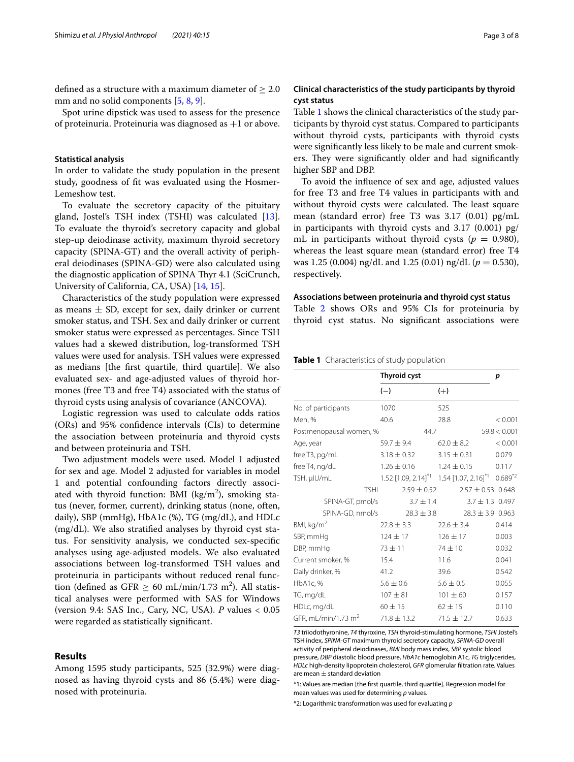defined as a structure with a maximum diameter of  $\geq 2.0$ mm and no solid components [[5,](#page-7-4) [8](#page-7-7), [9\]](#page-7-8).

Spot urine dipstick was used to assess for the presence of proteinuria. Proteinuria was diagnosed as  $+1$  or above.

# **Statistical analysis**

In order to validate the study population in the present study, goodness of ft was evaluated using the Hosmer-Lemeshow test.

To evaluate the secretory capacity of the pituitary gland, Jostel's TSH index (TSHI) was calculated [\[13](#page-7-12)]. To evaluate the thyroid's secretory capacity and global step-up deiodinase activity, maximum thyroid secretory capacity (SPINA-GT) and the overall activity of peripheral deiodinases (SPINA-GD) were also calculated using the diagnostic application of SPINA Thyr 4.1 (SciCrunch, University of California, CA, USA) [[14,](#page-7-13) [15](#page-7-14)].

Characteristics of the study population were expressed as means  $\pm$  SD, except for sex, daily drinker or current smoker status, and TSH. Sex and daily drinker or current smoker status were expressed as percentages. Since TSH values had a skewed distribution, log-transformed TSH values were used for analysis. TSH values were expressed as medians [the frst quartile, third quartile]. We also evaluated sex- and age-adjusted values of thyroid hormones (free T3 and free T4) associated with the status of thyroid cysts using analysis of covariance (ANCOVA).

Logistic regression was used to calculate odds ratios (ORs) and 95% confdence intervals (CIs) to determine the association between proteinuria and thyroid cysts and between proteinuria and TSH.

Two adjustment models were used. Model 1 adjusted for sex and age. Model 2 adjusted for variables in model 1 and potential confounding factors directly associated with thyroid function: BMI (kg/m<sup>2</sup>), smoking status (never, former, current), drinking status (none, often, daily), SBP (mmHg), HbA1c (%), TG (mg/dL), and HDLc (mg/dL). We also stratifed analyses by thyroid cyst status. For sensitivity analysis, we conducted sex-specifc analyses using age-adjusted models. We also evaluated associations between log-transformed TSH values and proteinuria in participants without reduced renal function (defined as  $GFR \geq 60 \text{ mL/min}/1.73 \text{ m}^2$ ). All statistical analyses were performed with SAS for Windows (version 9.4: SAS Inc., Cary, NC, USA). *P* values < 0.05 were regarded as statistically signifcant.

# **Results**

Among 1595 study participants, 525 (32.9%) were diagnosed as having thyroid cysts and 86 (5.4%) were diagnosed with proteinuria.

# **Clinical characteristics of the study participants by thyroid cyst status**

Table [1](#page-2-0) shows the clinical characteristics of the study participants by thyroid cyst status. Compared to participants without thyroid cysts, participants with thyroid cysts were signifcantly less likely to be male and current smokers. They were significantly older and had significantly higher SBP and DBP.

To avoid the infuence of sex and age, adjusted values for free T3 and free T4 values in participants with and without thyroid cysts were calculated. The least square mean (standard error) free T3 was 3.17 (0.01) pg/mL in participants with thyroid cysts and 3.17 (0.001) pg/ mL in participants without thyroid cysts ( $p = 0.980$ ), whereas the least square mean (standard error) free T4 was 1.25 (0.004) ng/dL and 1.25 (0.01) ng/dL (*p* = 0.530), respectively.

# **Associations between proteinuria and thyroid cyst status**

Table [2](#page-3-0) shows ORs and 95% CIs for proteinuria by thyroid cyst status. No signifcant associations were

<span id="page-2-0"></span>**Table 1** Characteristics of study population

|                         | <b>Thyroid cyst</b> |                 |                 | p                                                                                     |              |
|-------------------------|---------------------|-----------------|-----------------|---------------------------------------------------------------------------------------|--------------|
|                         | $(-)$               |                 | $(+)$           |                                                                                       |              |
| No. of participants     | 1070                |                 | 525             |                                                                                       |              |
| Men, %                  | 40.6                |                 | 28.8            |                                                                                       | < 0.001      |
| Postmenopausal women, % |                     | 44.7            |                 |                                                                                       | 59.8 < 0.001 |
| Age, year               | 59.7 ± 9.4          |                 | $62.0 \pm 8.2$  |                                                                                       | < 0.001      |
| free T3, pg/mL          | $3.18 \pm 0.32$     |                 | $3.15 \pm 0.31$ |                                                                                       | 0.079        |
| free T4, ng/dL          | $1.26 \pm 0.16$     |                 | $1.24 \pm 0.15$ |                                                                                       | 0.117        |
| TSH, µIU/mL             |                     |                 |                 | $1.52$ [1.09, 2.14] <sup>*1</sup> 1.54 [1.07, 2.16] <sup>*1</sup> 0.689 <sup>*2</sup> |              |
| <b>TSHI</b>             |                     | $2.59 \pm 0.52$ |                 | $2.57 \pm 0.53$ 0.648                                                                 |              |
| SPINA-GT, pmol/s        |                     | $3.7 \pm 1.4$   |                 | $3.7 \pm 1.3$ 0.497                                                                   |              |
| SPINA-GD, nmol/s        |                     | $28.3 \pm 3.8$  |                 | $28.3 \pm 3.9$ 0.963                                                                  |              |
| BMI, kg/m <sup>2</sup>  | $22.8 \pm 3.3$      |                 | $22.6 + 3.4$    |                                                                                       | 0.414        |
| SBP, mmHg               | $124 \pm 17$        |                 | $126 \pm 17$    |                                                                                       | 0.003        |
| DBP, mmHg               | $73 + 11$           |                 | $74 \pm 10$     |                                                                                       | 0.032        |
| Current smoker, %       | 15.4                |                 | 11.6            |                                                                                       | 0.041        |
| Daily drinker, %        | 41.2                |                 | 39.6            |                                                                                       | 0.542        |
| HbA1c, %                | $5.6 \pm 0.6$       |                 | $5.6 \pm 0.5$   |                                                                                       | 0.055        |
| TG, mg/dL               | $107 + 81$          |                 | $101 \pm 60$    |                                                                                       | 0.157        |
| HDLc, mg/dL             | $60 \pm 15$         |                 | $62 \pm 15$     |                                                                                       | 0.110        |
| GFR, mL/min/1.73 $m2$   | $71.8 \pm 13.2$     |                 | $71.5 \pm 12.7$ |                                                                                       | 0.633        |

*T3* triiodothyronine, *T4* thyroxine, *TSH* thyroid-stimulating hormone, *TSHI* Jostel's TSH index, *SPINA-GT* maximum thyroid secretory capacity, *SPINA-GD* overall activity of peripheral deiodinases, *BMI* body mass index, *SBP* systolic blood pressure, *DBP* diastolic blood pressure, *HbA1c* hemoglobin A1c, *TG* triglycerides, *HDLc* high-density lipoprotein cholesterol, *GFR* glomerular fltration rate. Values are mean  $\pm$  standard deviation

\*1: Values are median [the frst quartile, third quartile]. Regression model for mean values was used for determining *p* values.

\*2: Logarithmic transformation was used for evaluating *p*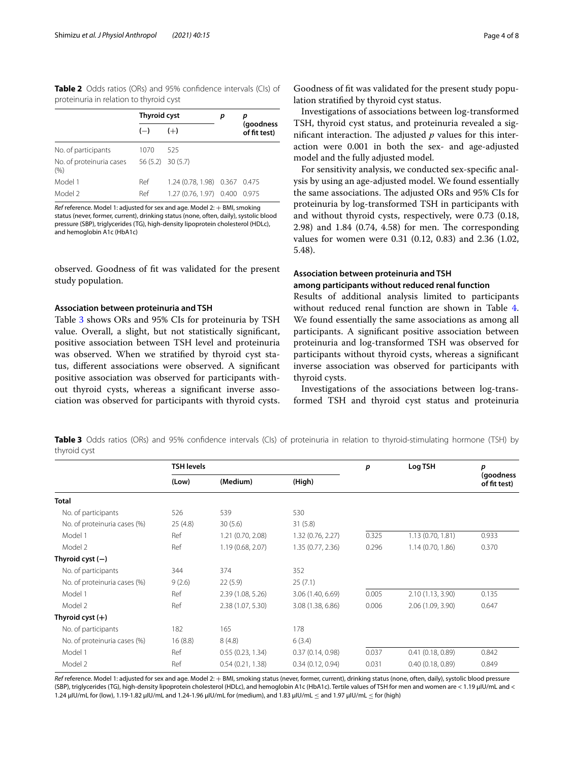<span id="page-3-0"></span>**Table 2** Odds ratios (ORs) and 95% confdence intervals (CIs) of proteinuria in relation to thyroid cyst

|                                  | Thyroid cyst |                               | р | р<br>(goodness<br>of fit test) |
|----------------------------------|--------------|-------------------------------|---|--------------------------------|
|                                  | $(-)$        | $(+)$                         |   |                                |
| No. of participants              | 1070         | 525                           |   |                                |
| No. of proteinuria cases<br>(% ) |              | $56(5.2)$ 30 (5.7)            |   |                                |
| Model 1                          | Ref          | 1.24 (0.78, 1.98) 0.367 0.475 |   |                                |
| Model 2                          | Ref          | 1.27 (0.76, 1.97) 0.400       |   | 0.975                          |

*Ref* reference. Model 1: adjusted for sex and age. Model 2: + BMI, smoking status (never, former, current), drinking status (none, often, daily), systolic blood pressure (SBP), triglycerides (TG), high-density lipoprotein cholesterol (HDLc), and hemoglobin A1c (HbA1c)

observed. Goodness of ft was validated for the present study population.

# **Association between proteinuria and TSH**

Table [3](#page-3-1) shows ORs and 95% CIs for proteinuria by TSH value. Overall, a slight, but not statistically signifcant, positive association between TSH level and proteinuria was observed. When we stratifed by thyroid cyst status, diferent associations were observed. A signifcant positive association was observed for participants without thyroid cysts, whereas a signifcant inverse association was observed for participants with thyroid cysts.

Investigations of associations between log-transformed TSH, thyroid cyst status, and proteinuria revealed a significant interaction. The adjusted  $p$  values for this interaction were 0.001 in both the sex- and age-adjusted model and the fully adjusted model.

For sensitivity analysis, we conducted sex-specifc analysis by using an age-adjusted model. We found essentially the same associations. The adjusted ORs and 95% CIs for proteinuria by log-transformed TSH in participants with and without thyroid cysts, respectively, were 0.73 (0.18,  $2.98$ ) and  $1.84$   $(0.74, 4.58)$  for men. The corresponding values for women were 0.31 (0.12, 0.83) and 2.36 (1.02, 5.48).

# **Association between proteinuria and TSH among participants without reduced renal function**

Results of additional analysis limited to participants without reduced renal function are shown in Table [4](#page-4-0). We found essentially the same associations as among all participants. A signifcant positive association between proteinuria and log-transformed TSH was observed for participants without thyroid cysts, whereas a signifcant inverse association was observed for participants with thyroid cysts.

Investigations of the associations between log-transformed TSH and thyroid cyst status and proteinuria

<span id="page-3-1"></span>**Table 3** Odds ratios (ORs) and 95% confidence intervals (CIs) of proteinuria in relation to thyroid-stimulating hormone (TSH) by thyroid cyst

|                              | <b>TSH levels</b> |                   |                   | p     | Log TSH           | p                         |
|------------------------------|-------------------|-------------------|-------------------|-------|-------------------|---------------------------|
|                              | (Low)             | (Medium)          | (High)            |       |                   | (goodness<br>of fit test) |
| <b>Total</b>                 |                   |                   |                   |       |                   |                           |
| No. of participants          | 526               | 539               | 530               |       |                   |                           |
| No. of proteinuria cases (%) | 25(4.8)           | 30(5.6)           | 31(5.8)           |       |                   |                           |
| Model 1                      | Ref               | 1.21 (0.70, 2.08) | 1.32 (0.76, 2.27) | 0.325 | 1.13 (0.70, 1.81) | 0.933                     |
| Model 2                      | Ref               | 1.19 (0.68, 2.07) | 1.35 (0.77, 2.36) | 0.296 | 1.14(0.70, 1.86)  | 0.370                     |
| Thyroid cyst $(-)$           |                   |                   |                   |       |                   |                           |
| No. of participants          | 344               | 374               | 352               |       |                   |                           |
| No. of proteinuria cases (%) | 9(2.6)            | 22(5.9)           | 25(7.1)           |       |                   |                           |
| Model 1                      | Ref               | 2.39 (1.08, 5.26) | 3.06 (1.40, 6.69) | 0.005 | 2.10 (1.13, 3.90) | 0.135                     |
| Model 2                      | Ref               | 2.38 (1.07, 5.30) | 3.08 (1.38, 6.86) | 0.006 | 2.06 (1.09, 3.90) | 0.647                     |
| Thyroid cyst $(+)$           |                   |                   |                   |       |                   |                           |
| No. of participants          | 182               | 165               | 178               |       |                   |                           |
| No. of proteinuria cases (%) | 16(8.8)           | 8(4.8)            | 6(3.4)            |       |                   |                           |
| Model 1                      | Ref               | 0.55(0.23, 1.34)  | 0.37(0.14, 0.98)  | 0.037 | 0.41(0.18, 0.89)  | 0.842                     |
| Model 2                      | Ref               | 0.54(0.21, 1.38)  | 0.34(0.12, 0.94)  | 0.031 | 0.40(0.18, 0.89)  | 0.849                     |

*Ref* reference. Model 1: adjusted for sex and age. Model 2: + BMI, smoking status (never, former, current), drinking status (none, often, daily), systolic blood pressure (SBP), triglycerides (TG), high-density lipoprotein cholesterol (HDLc), and hemoglobin A1c (HbA1c). Tertile values of TSH for men and women are < 1.19 μIU/mL and < 1.24 μIU/mL for (low), 1.19-1.82 μIU/mL and 1.24-1.96 μIU/mL for (medium), and 1.83 μIU/mL ≤ and 1.97 μIU/mL ≤ for (high)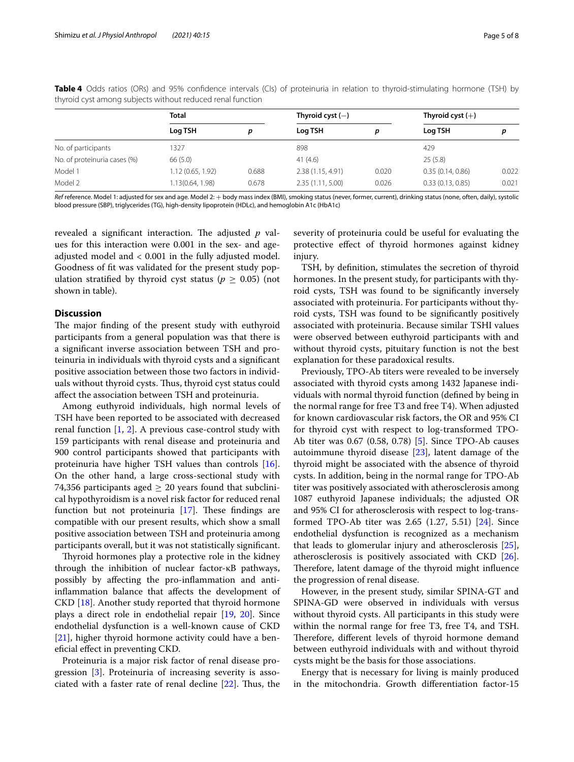|                              | <b>Total</b>     |       | Thyroid cyst $(-)$ |       | Thyroid cyst $(+)$ |       |  |  |
|------------------------------|------------------|-------|--------------------|-------|--------------------|-------|--|--|
|                              | Log TSH          | D     | Log TSH            | p     | Log TSH            | p     |  |  |
| No. of participants          | 1327             |       | 898                |       | 429                |       |  |  |
| No. of proteinuria cases (%) | 66 (5.0)         |       | 41(4.6)            |       | 25(5.8)            |       |  |  |
| Model 1                      | 1.12(0.65, 1.92) | 0.688 | 2.38(1.15, 4.91)   | 0.020 | 0.35(0.14, 0.86)   | 0.022 |  |  |
| Model 2                      | 1.13(0.64, 1.98) | 0.678 | 2.35(1.11, 5.00)   | 0.026 | 0.33(0.13, 0.85)   | 0.021 |  |  |

<span id="page-4-0"></span>**Table 4** Odds ratios (ORs) and 95% confdence intervals (CIs) of proteinuria in relation to thyroid-stimulating hormone (TSH) by thyroid cyst among subjects without reduced renal function

*Ref* reference. Model 1: adjusted for sex and age. Model 2: + body mass index (BMI), smoking status (never, former, current), drinking status (none, often, daily), systolic blood pressure (SBP), triglycerides (TG), high-density lipoprotein (HDLc), and hemoglobin A1c (HbA1c)

revealed a significant interaction. The adjusted p values for this interaction were 0.001 in the sex- and ageadjusted model and < 0.001 in the fully adjusted model. Goodness of ft was validated for the present study population stratified by thyroid cyst status ( $p \geq 0.05$ ) (not shown in table).

# **Discussion**

The major finding of the present study with euthyroid participants from a general population was that there is a signifcant inverse association between TSH and proteinuria in individuals with thyroid cysts and a signifcant positive association between those two factors in individuals without thyroid cysts. Thus, thyroid cyst status could afect the association between TSH and proteinuria.

Among euthyroid individuals, high normal levels of TSH have been reported to be associated with decreased renal function [[1](#page-7-0), [2\]](#page-7-1). A previous case-control study with 159 participants with renal disease and proteinuria and 900 control participants showed that participants with proteinuria have higher TSH values than controls [\[16](#page-7-15)]. On the other hand, a large cross-sectional study with 74,356 participants aged  $\geq$  20 years found that subclinical hypothyroidism is a novel risk factor for reduced renal function but not proteinuria  $[17]$  $[17]$ . These findings are compatible with our present results, which show a small positive association between TSH and proteinuria among participants overall, but it was not statistically signifcant.

Thyroid hormones play a protective role in the kidney through the inhibition of nuclear factor-κB pathways, possibly by afecting the pro-infammation and antiinfammation balance that afects the development of CKD [\[18](#page-7-17)]. Another study reported that thyroid hormone plays a direct role in endothelial repair [[19,](#page-7-18) [20\]](#page-7-19). Since endothelial dysfunction is a well-known cause of CKD [[21\]](#page-7-20), higher thyroid hormone activity could have a benefcial efect in preventing CKD.

Proteinuria is a major risk factor of renal disease progression [\[3](#page-7-2)]. Proteinuria of increasing severity is associated with a faster rate of renal decline  $[22]$  $[22]$  $[22]$ . Thus, the

severity of proteinuria could be useful for evaluating the protective efect of thyroid hormones against kidney injury.

TSH, by defnition, stimulates the secretion of thyroid hormones. In the present study, for participants with thyroid cysts, TSH was found to be signifcantly inversely associated with proteinuria. For participants without thyroid cysts, TSH was found to be signifcantly positively associated with proteinuria. Because similar TSHI values were observed between euthyroid participants with and without thyroid cysts, pituitary function is not the best explanation for these paradoxical results.

Previously, TPO-Ab titers were revealed to be inversely associated with thyroid cysts among 1432 Japanese individuals with normal thyroid function (defned by being in the normal range for free T3 and free T4). When adjusted for known cardiovascular risk factors, the OR and 95% CI for thyroid cyst with respect to log-transformed TPO-Ab titer was 0.67 (0.58, 0.78) [[5\]](#page-7-4). Since TPO-Ab causes autoimmune thyroid disease  $[23]$  $[23]$ , latent damage of the thyroid might be associated with the absence of thyroid cysts. In addition, being in the normal range for TPO-Ab titer was positively associated with atherosclerosis among 1087 euthyroid Japanese individuals; the adjusted OR and 95% CI for atherosclerosis with respect to log-transformed TPO-Ab titer was 2.65 (1.27, 5.51) [[24\]](#page-7-23). Since endothelial dysfunction is recognized as a mechanism that leads to glomerular injury and atherosclerosis [\[25](#page-7-24)], atherosclerosis is positively associated with CKD [\[26](#page-7-25)]. Therefore, latent damage of the thyroid might influence the progression of renal disease.

However, in the present study, similar SPINA-GT and SPINA-GD were observed in individuals with versus without thyroid cysts. All participants in this study were within the normal range for free T3, free T4, and TSH. Therefore, different levels of thyroid hormone demand between euthyroid individuals with and without thyroid cysts might be the basis for those associations.

Energy that is necessary for living is mainly produced in the mitochondria. Growth diferentiation factor-15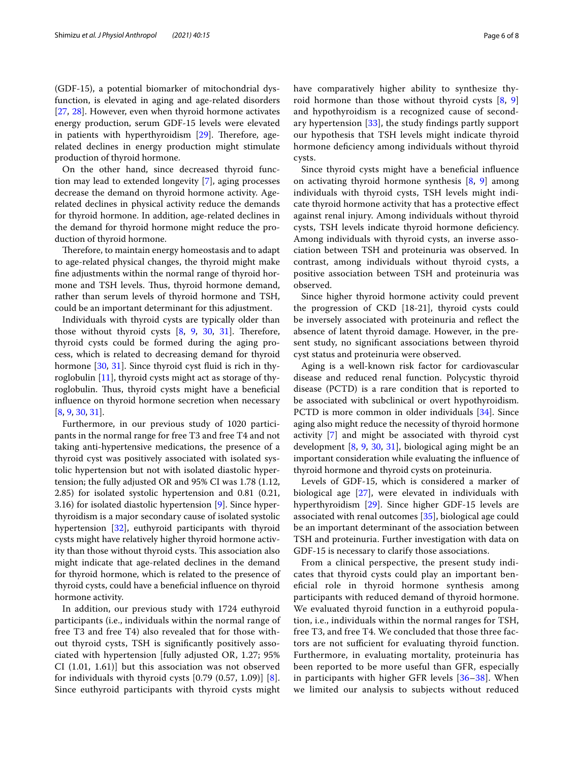(GDF-15), a potential biomarker of mitochondrial dysfunction, is elevated in aging and age-related disorders [[27,](#page-7-26) [28\]](#page-7-27). However, even when thyroid hormone activates energy production, serum GDF-15 levels were elevated in patients with hyperthyroidism [\[29](#page-7-28)]. Therefore, agerelated declines in energy production might stimulate production of thyroid hormone.

On the other hand, since decreased thyroid function may lead to extended longevity [[7\]](#page-7-6), aging processes decrease the demand on thyroid hormone activity. Agerelated declines in physical activity reduce the demands for thyroid hormone. In addition, age-related declines in the demand for thyroid hormone might reduce the production of thyroid hormone.

Therefore, to maintain energy homeostasis and to adapt to age-related physical changes, the thyroid might make fne adjustments within the normal range of thyroid hormone and TSH levels. Thus, thyroid hormone demand, rather than serum levels of thyroid hormone and TSH, could be an important determinant for this adjustment.

Individuals with thyroid cysts are typically older than those without thyroid cysts  $[8, 9, 30, 31]$  $[8, 9, 30, 31]$  $[8, 9, 30, 31]$  $[8, 9, 30, 31]$  $[8, 9, 30, 31]$  $[8, 9, 30, 31]$  $[8, 9, 30, 31]$ . Therefore, thyroid cysts could be formed during the aging process, which is related to decreasing demand for thyroid hormone [[30,](#page-7-29) [31\]](#page-7-30). Since thyroid cyst fluid is rich in thyroglobulin [\[11\]](#page-7-10), thyroid cysts might act as storage of thyroglobulin. Thus, thyroid cysts might have a beneficial infuence on thyroid hormone secretion when necessary [[8,](#page-7-7) [9](#page-7-8), [30,](#page-7-29) [31](#page-7-30)].

Furthermore, in our previous study of 1020 participants in the normal range for free T3 and free T4 and not taking anti-hypertensive medications, the presence of a thyroid cyst was positively associated with isolated systolic hypertension but not with isolated diastolic hypertension; the fully adjusted OR and 95% CI was 1.78 (1.12, 2.85) for isolated systolic hypertension and 0.81 (0.21, 3.16) for isolated diastolic hypertension [[9\]](#page-7-8). Since hyperthyroidism is a major secondary cause of isolated systolic hypertension [[32](#page-7-31)], euthyroid participants with thyroid cysts might have relatively higher thyroid hormone activity than those without thyroid cysts. This association also might indicate that age-related declines in the demand for thyroid hormone, which is related to the presence of thyroid cysts, could have a benefcial infuence on thyroid hormone activity.

In addition, our previous study with 1724 euthyroid participants (i.e., individuals within the normal range of free T3 and free T4) also revealed that for those without thyroid cysts, TSH is signifcantly positively associated with hypertension [fully adjusted OR, 1.27; 95% CI (1.01, 1.61)] but this association was not observed for individuals with thyroid cysts  $[0.79 (0.57, 1.09)] [8]$  $[0.79 (0.57, 1.09)] [8]$  $[0.79 (0.57, 1.09)] [8]$ . Since euthyroid participants with thyroid cysts might have comparatively higher ability to synthesize thyroid hormone than those without thyroid cysts [[8,](#page-7-7) [9](#page-7-8)] and hypothyroidism is a recognized cause of secondary hypertension  $[33]$  $[33]$  $[33]$ , the study findings partly support our hypothesis that TSH levels might indicate thyroid hormone defciency among individuals without thyroid cysts.

Since thyroid cysts might have a benefcial infuence on activating thyroid hormone synthesis [\[8](#page-7-7), [9\]](#page-7-8) among individuals with thyroid cysts, TSH levels might indicate thyroid hormone activity that has a protective efect against renal injury. Among individuals without thyroid cysts, TSH levels indicate thyroid hormone defciency. Among individuals with thyroid cysts, an inverse association between TSH and proteinuria was observed. In contrast, among individuals without thyroid cysts, a positive association between TSH and proteinuria was observed.

Since higher thyroid hormone activity could prevent the progression of CKD [18-21], thyroid cysts could be inversely associated with proteinuria and refect the absence of latent thyroid damage. However, in the present study, no signifcant associations between thyroid cyst status and proteinuria were observed.

Aging is a well-known risk factor for cardiovascular disease and reduced renal function. Polycystic thyroid disease (PCTD) is a rare condition that is reported to be associated with subclinical or overt hypothyroidism. PCTD is more common in older individuals [[34\]](#page-7-33). Since aging also might reduce the necessity of thyroid hormone activity [\[7](#page-7-6)] and might be associated with thyroid cyst development [\[8](#page-7-7), [9,](#page-7-8) [30](#page-7-29), [31\]](#page-7-30), biological aging might be an important consideration while evaluating the infuence of thyroid hormone and thyroid cysts on proteinuria.

Levels of GDF-15, which is considered a marker of biological age [[27\]](#page-7-26), were elevated in individuals with hyperthyroidism [[29\]](#page-7-28). Since higher GDF-15 levels are associated with renal outcomes [\[35](#page-7-34)], biological age could be an important determinant of the association between TSH and proteinuria. Further investigation with data on GDF-15 is necessary to clarify those associations.

From a clinical perspective, the present study indicates that thyroid cysts could play an important benefcial role in thyroid hormone synthesis among participants with reduced demand of thyroid hormone. We evaluated thyroid function in a euthyroid population, i.e., individuals within the normal ranges for TSH, free T3, and free T4. We concluded that those three factors are not sufficient for evaluating thyroid function. Furthermore, in evaluating mortality, proteinuria has been reported to be more useful than GFR, especially in participants with higher GFR levels [\[36](#page-7-35)[–38\]](#page-7-36). When we limited our analysis to subjects without reduced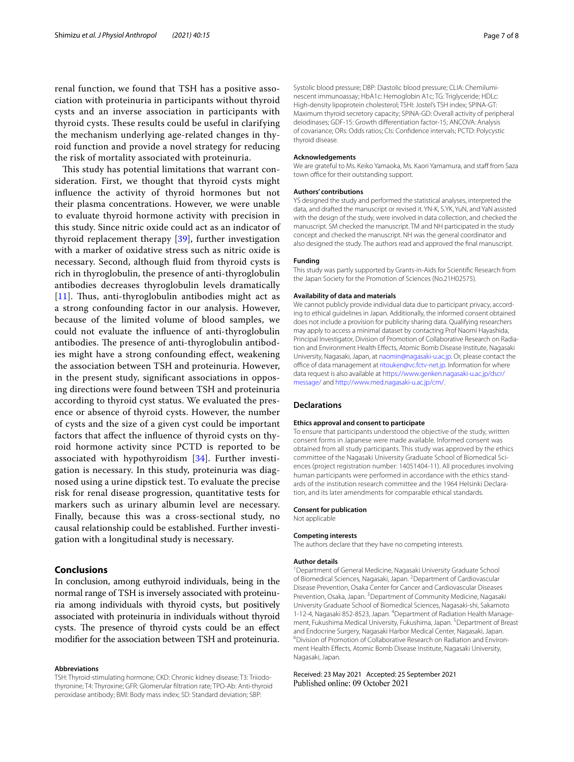renal function, we found that TSH has a positive association with proteinuria in participants without thyroid cysts and an inverse association in participants with thyroid cysts. These results could be useful in clarifying the mechanism underlying age-related changes in thyroid function and provide a novel strategy for reducing the risk of mortality associated with proteinuria.

This study has potential limitations that warrant consideration. First, we thought that thyroid cysts might infuence the activity of thyroid hormones but not their plasma concentrations. However, we were unable to evaluate thyroid hormone activity with precision in this study. Since nitric oxide could act as an indicator of thyroid replacement therapy [[39\]](#page-7-37), further investigation with a marker of oxidative stress such as nitric oxide is necessary. Second, although fuid from thyroid cysts is rich in thyroglobulin, the presence of anti-thyroglobulin antibodies decreases thyroglobulin levels dramatically  $[11]$  $[11]$  $[11]$ . Thus, anti-thyroglobulin antibodies might act as a strong confounding factor in our analysis. However, because of the limited volume of blood samples, we could not evaluate the infuence of anti-thyroglobulin antibodies. The presence of anti-thyroglobulin antibodies might have a strong confounding efect, weakening the association between TSH and proteinuria. However, in the present study, signifcant associations in opposing directions were found between TSH and proteinuria according to thyroid cyst status. We evaluated the presence or absence of thyroid cysts. However, the number of cysts and the size of a given cyst could be important factors that afect the infuence of thyroid cysts on thyroid hormone activity since PCTD is reported to be associated with hypothyroidism [[34\]](#page-7-33). Further investigation is necessary. In this study, proteinuria was diagnosed using a urine dipstick test. To evaluate the precise risk for renal disease progression, quantitative tests for markers such as urinary albumin level are necessary. Finally, because this was a cross-sectional study, no causal relationship could be established. Further investigation with a longitudinal study is necessary.

# **Conclusions**

In conclusion, among euthyroid individuals, being in the normal range of TSH is inversely associated with proteinuria among individuals with thyroid cysts, but positively associated with proteinuria in individuals without thyroid cysts. The presence of thyroid cysts could be an effect modifer for the association between TSH and proteinuria.

#### **Abbreviations**

TSH: Thyroid-stimulating hormone; CKD: Chronic kidney disease; T3: Triiodothyronine; T4: Thyroxine; GFR: Glomerular fltration rate; TPO-Ab: Anti-thyroid peroxidase antibody; BMI: Body mass index; SD: Standard deviation; SBP:

Systolic blood pressure; DBP: Diastolic blood pressure; CLIA: Chemiluminescent immunoassay; HbA1c: Hemoglobin A1c; TG: Triglyceride; HDLc: High-density lipoprotein cholesterol; TSHI: Jostel's TSH index; SPINA-GT: Maximum thyroid secretory capacity; SPINA-GD: Overall activity of peripheral deiodinases; GDF-15: Growth diferentiation factor-15; ANCOVA: Analysis of covariance; ORs: Odds ratios; CIs: Confdence intervals; PCTD: Polycystic thyroid disease.

# **Acknowledgements**

We are grateful to Ms. Keiko Yamaoka, Ms. Kaori Yamamura, and staff from Saza town office for their outstanding support.

### **Authors' contributions**

YS designed the study and performed the statistical analyses, interpreted the data, and drafted the manuscript or revised it. YN-K, S.YK, YuN, and YaN assisted with the design of the study, were involved in data collection, and checked the manuscript. SM checked the manuscript. TM and NH participated in the study concept and checked the manuscript. NH was the general coordinator and also designed the study. The authors read and approved the fnal manuscript.

### **Funding**

This study was partly supported by Grants-in-Aids for Scientifc Research from the Japan Society for the Promotion of Sciences (No.21H02575).

#### **Availability of data and materials**

We cannot publicly provide individual data due to participant privacy, according to ethical guidelines in Japan. Additionally, the informed consent obtained does not include a provision for publicity sharing data. Qualifying researchers may apply to access a minimal dataset by contacting Prof Naomi Hayashida, Principal Investigator, Division of Promotion of Collaborative Research on Radiation and Environment Health Efects, Atomic Bomb Disease Institute, Nagasaki University, Nagasaki, Japan, at<naomin@nagasaki-u.ac.jp>. Or, please contact the office of data management at [ritouken@vc.fctv-net.jp.](ritouken@vc.fctv-net.jp) Information for where data request is also available at [https://www.genken.nagasaki-u.ac.jp/dscr/](https://www.genken.nagasaki-u.ac.jp/dscr/message/) [message/](https://www.genken.nagasaki-u.ac.jp/dscr/message/) and [http://www.med.nagasaki-u.ac.jp/cm/.](http://www.med.nagasaki-u.ac.jp/cm/)

#### **Declarations**

#### **Ethics approval and consent to participate**

To ensure that participants understood the objective of the study, written consent forms in Japanese were made available. Informed consent was obtained from all study participants. This study was approved by the ethics committee of the Nagasaki University Graduate School of Biomedical Sciences (project registration number: 14051404-11). All procedures involving human participants were performed in accordance with the ethics standards of the institution research committee and the 1964 Helsinki Declaration, and its later amendments for comparable ethical standards.

# **Consent for publication**

Not applicable

# **Competing interests**

The authors declare that they have no competing interests.

# **Author details**

<sup>1</sup> Department of General Medicine, Nagasaki University Graduate School of Biomedical Sciences, Nagasaki, Japan. <sup>2</sup> Department of Cardiovascular Disease Prevention, Osaka Center for Cancer and Cardiovascular Diseases Prevention, Osaka, Japan. <sup>3</sup> Department of Community Medicine, Nagasaki University Graduate School of Biomedical Sciences, Nagasaki‑shi, Sakamoto 1-12-4, Nagasaki 852-8523, Japan. <sup>4</sup> Department of Radiation Health Management, Fukushima Medical University, Fukushima, Japan. <sup>5</sup> Department of Breast and Endocrine Surgery, Nagasaki Harbor Medical Center, Nagasaki, Japan. 6 <sup>6</sup>Division of Promotion of Collaborative Research on Radiation and Environment Health Efects, Atomic Bomb Disease Institute, Nagasaki University, Nagasaki, Japan.

# Received: 23 May 2021 Accepted: 25 September 2021